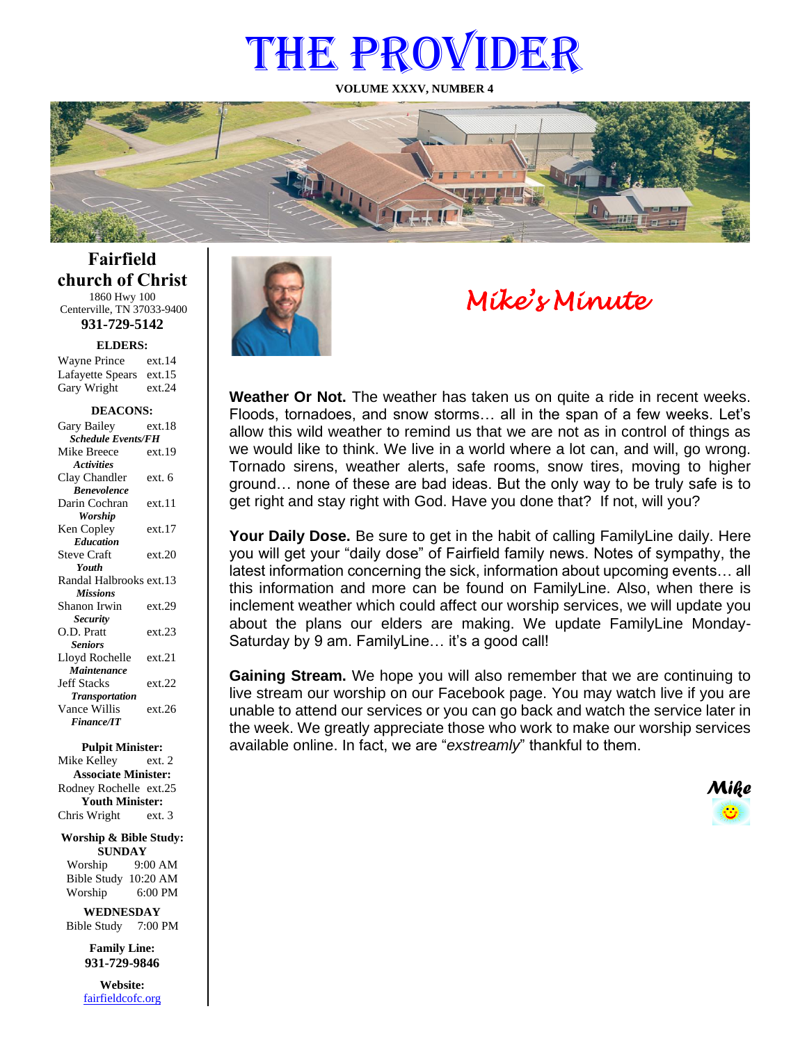# THE PROVIDER

**VOLUME XXXV, NUMBER 4**



**Fairfield church of Christ** 1860 Hwy 100 Centerville, TN 37033-9400

**931-729-5142**

Gary Wright ext.24 **ELDERS:** Wayne Prince ext.14 Lafayette Spears ext.15

#### **DEACONS:**

| Gary Bailey               | ext 18 |  |
|---------------------------|--------|--|
| <b>Schedule Events/FH</b> |        |  |
| Mike Breece               | ext.19 |  |
| <b>Activities</b>         |        |  |
| Clay Chandler             | ext. 6 |  |
| <b>Benevolence</b>        |        |  |
| Darin Cochran             | ext.11 |  |
| <b>Worship</b>            |        |  |
| Ken Copley                | ext.17 |  |
| <b>Education</b>          |        |  |
| <b>Steve Craft</b>        | ext.20 |  |
| <b>Youth</b>              |        |  |
| Randal Halbrooks ext.13   |        |  |
| <b>Missions</b>           |        |  |
| Shanon Irwin              | ext.29 |  |
| <b>Security</b>           |        |  |
| O.D. Pratt                | ext.23 |  |
| <b>Seniors</b>            |        |  |
| Lloyd Rochelle            | ext.21 |  |
| Maintenance               |        |  |
| <b>Jeff Stacks</b>        | ext.22 |  |
| <b>Transportation</b>     |        |  |
| Vance Willis              | ext.26 |  |
| <b>Finance/IT</b>         |        |  |

**Pulpit Minister:** Mike Kelley ext. 2 **Associate Minister:** Rodney Rochelle ext.25

**Youth Minister:** Chris Wright ext. 3

**Worship & Bible Study: SUNDAY**

Worship 9:00 AM Bible Study 10:20 AM Worship 6:00 PM

**WEDNESDAY** Bible Study 7:00 PM

> **Family Line: 931-729-9846**

**Website:** [fairfieldcofc.org](file:///C:/Users/RickJoyce/Documents/Fairfield%20Website%20Files/fairfieldchurchofchrist.org)



# *Mike's Minute*

**Weather Or Not.** The weather has taken us on quite a ride in recent weeks. Floods, tornadoes, and snow storms… all in the span of a few weeks. Let's allow this wild weather to remind us that we are not as in control of things as we would like to think. We live in a world where a lot can, and will, go wrong. Tornado sirens, weather alerts, safe rooms, snow tires, moving to higher ground… none of these are bad ideas. But the only way to be truly safe is to get right and stay right with God. Have you done that? If not, will you?

**Your Daily Dose.** Be sure to get in the habit of calling FamilyLine daily. Here you will get your "daily dose" of Fairfield family news. Notes of sympathy, the latest information concerning the sick, information about upcoming events… all this information and more can be found on FamilyLine. Also, when there is inclement weather which could affect our worship services, we will update you about the plans our elders are making. We update FamilyLine Monday-Saturday by 9 am. FamilyLine... it's a good call!

**Gaining Stream.** We hope you will also remember that we are continuing to live stream our worship on our Facebook page. You may watch live if you are unable to attend our services or you can go back and watch the service later in the week. We greatly appreciate those who work to make our worship services available online. In fact, we are "*exstreamly*" thankful to them.

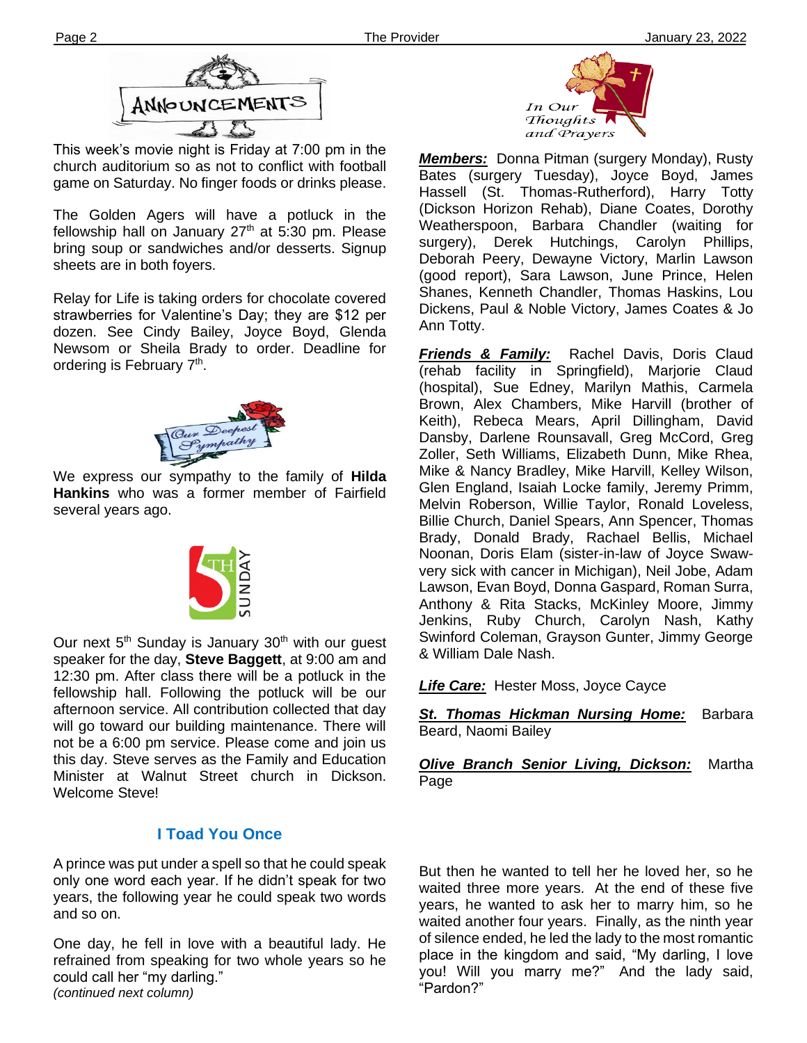

This week's movie night is Friday at 7:00 pm in the church auditorium so as not to conflict with football game on Saturday. No finger foods or drinks please.

**Ther** sheets are in both foyers. The Golden Agers will have a potluck in the fellowship hall on January  $27<sup>th</sup>$  at 5:30 pm. Please bring soup or sandwiches and/or desserts. Signup

Relay for Life is taking orders for chocolate covered strawberries for Valentine's Day; they are \$12 per dozen. See Cindy Bailey, Joyce Boyd, Glenda Newsom or Sheila Brady to order. Deadline for ordering is February 7<sup>th</sup>.



We express our sympathy to the family of **Hilda Hankins** who was a former member of Fairfield several years ago.



this day. Steve serves as the Family and Education Our next  $5<sup>th</sup>$  Sunday is January 30<sup>th</sup> with our guest speaker for the day, **Steve Baggett**, at 9:00 am and 12:30 pm. After class there will be a potluck in the fellowship hall. Following the potluck will be our afternoon service. All contribution collected that day will go toward our building maintenance. There will not be a 6:00 pm service. Please come and join us Minister at Walnut Street church in Dickson. Welcome Steve!

## **I Toad You Once**

A prince was put under a spell so that he could speak only one word each year. If he didn't speak for two years, the following year he could speak two words and so on.

One day, he fell in love with a beautiful lady. He refrained from speaking for two whole years so he could call her "my darling." *(continued next column)*



*Members:* Donna Pitman (surgery Monday), Rusty Bates (surgery Tuesday), Joyce Boyd, James Hassell (St. Thomas-Rutherford), Harry Totty (Dickson Horizon Rehab), Diane Coates, Dorothy Weatherspoon, Barbara Chandler (waiting for surgery), Derek Hutchings, Carolyn Phillips, Deborah Peery, Dewayne Victory, Marlin Lawson (good report), Sara Lawson, June Prince, Helen Shanes, Kenneth Chandler, Thomas Haskins, Lou Dickens, Paul & Noble Victory, James Coates & Jo Ann Totty.

*Friends & Family:* Rachel Davis, Doris Claud (rehab facility in Springfield), Marjorie Claud (hospital), Sue Edney, Marilyn Mathis, Carmela Brown, Alex Chambers, Mike Harvill (brother of Keith), Rebeca Mears, April Dillingham, David Dansby, Darlene Rounsavall, Greg McCord, Greg Zoller, Seth Williams, Elizabeth Dunn, Mike Rhea, Mike & Nancy Bradley, Mike Harvill, Kelley Wilson, Glen England, Isaiah Locke family, Jeremy Primm, Melvin Roberson, Willie Taylor, Ronald Loveless, Billie Church, Daniel Spears, Ann Spencer, Thomas Brady, Donald Brady, Rachael Bellis, Michael Noonan, Doris Elam (sister-in-law of Joyce Swawvery sick with cancer in Michigan), Neil Jobe, Adam Lawson, Evan Boyd, Donna Gaspard, Roman Surra, Anthony & Rita Stacks, McKinley Moore, Jimmy Jenkins, Ruby Church, Carolyn Nash, Kathy Swinford Coleman, Grayson Gunter, Jimmy George & William Dale Nash.

*Life Care:* Hester Moss, Joyce Cayce

*St. Thomas Hickman Nursing Home:* Barbara Beard, Naomi Bailey

*Olive Branch Senior Living, Dickson:* Martha Page

But then he wanted to tell her he loved her, so he waited three more years. At the end of these five years, he wanted to ask her to marry him, so he waited another four years. Finally, as the ninth year of silence ended, he led the lady to the most romantic place in the kingdom and said, "My darling, I love you! Will you marry me?" And the lady said, "Pardon?"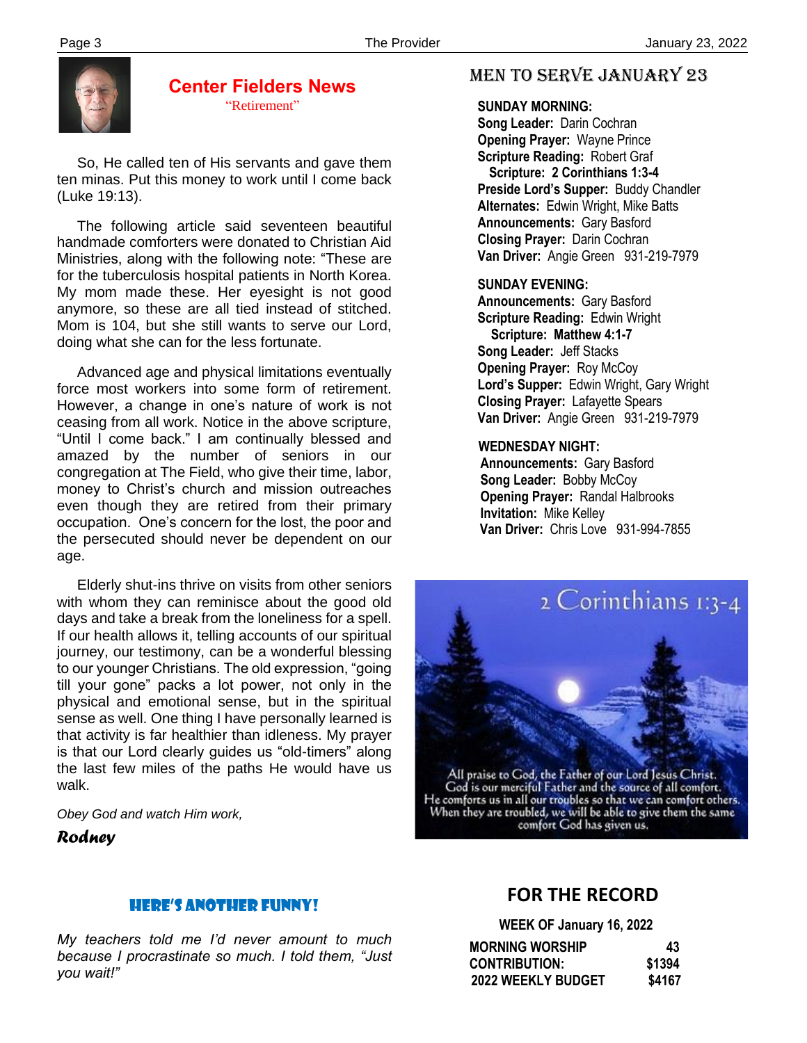

### **Center Fielders News** "Retirement"

 So, He called ten of His servants and gave them ten minas. Put this money to work until I come back (Luke 19:13).

 The following article said seventeen beautiful handmade comforters were donated to Christian Aid Ministries, along with the following note: "These are for the tuberculosis hospital patients in North Korea. My mom made these. Her eyesight is not good anymore, so these are all tied instead of stitched. Mom is 104, but she still wants to serve our Lord, doing what she can for the less fortunate.

 Advanced age and physical limitations eventually force most workers into some form of retirement. However, a change in one's nature of work is not ceasing from all work. Notice in the above scripture, "Until I come back." I am continually blessed and amazed by the number of seniors in our congregation at The Field, who give their time, labor, money to Christ's church and mission outreaches even though they are retired from their primary occupation. One's concern for the lost, the poor and the persecuted should never be dependent on our age.

 that activity is far healthier than idleness. My prayer Elderly shut-ins thrive on visits from other seniors with whom they can reminisce about the good old days and take a break from the loneliness for a spell. If our health allows it, telling accounts of our spiritual journey, our testimony, can be a wonderful blessing to our younger Christians. The old expression, "going till your gone" packs a lot power, not only in the physical and emotional sense, but in the spiritual sense as well. One thing I have personally learned is is that our Lord clearly guides us "old-timers" along the last few miles of the paths He would have us walk.

*Obey God and watch Him work,*

*Rodney*

## MEN TO SERVE January 23

#### **SUNDAY MORNING:**

**Song Leader:** Darin Cochran  **Opening Prayer:** Wayne Prince **Scripture Reading:** Robert Graf  **Scripture: 2 Corinthians 1:3-4 Preside Lord's Supper:** Buddy Chandler  **Alternates:** Edwin Wright, Mike Batts  **Announcements:** Gary Basford  **Closing Prayer:** Darin Cochran **Van Driver:** Angie Green 931-219-7979

#### **SUNDAY EVENING:**

**Announcements:** Gary Basford **Scripture Reading:** Edwin Wright  **Scripture: Matthew 4:1-7 Song Leader:** Jeff Stacks **Opening Prayer:** Roy McCoy **Lord's Supper:** Edwin Wright, Gary Wright **Closing Prayer:** Lafayette Spears **Van Driver:** Angie Green 931-219-7979

#### **WEDNESDAY NIGHT:**

**Announcements:** Gary Basford **Song Leader:** Bobby McCoy **Opening Prayer:** Randal Halbrooks **Invitation:** Mike Kelley  **Van Driver:** Chris Love 931-994-7855



All praise to God, the Father of our Lord Jesus Christ.<br>God is our merciful Father and the source of all comfort. He comforts us in all our troubles so that we can comfort others.<br>When they are troubled, we will be able to give them the same comfort God has given us.

#### Here's another Funny!

 *My teachers told me I'd never amount to much because I procrastinate so much. I told them, "Just you wait!"*

## **FOR THE RECORD**

**WEEK OF January 16, 2022**

| <b>MORNING WORSHIP</b>    | 43     |
|---------------------------|--------|
| <b>CONTRIBUTION:</b>      | \$1394 |
| <b>2022 WEEKLY BUDGET</b> | \$4167 |